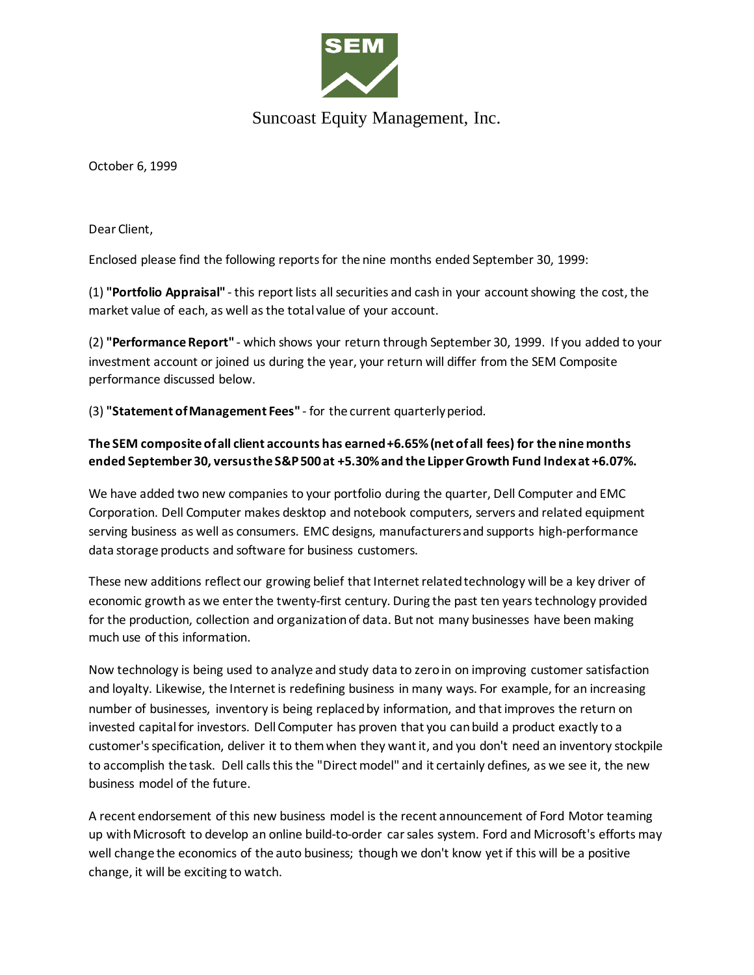

## Suncoast Equity Management, Inc.

October 6, 1999

Dear Client,

Enclosed please find the following reports for the nine months ended September 30, 1999:

(1) **"Portfolio Appraisal"** - this report lists all securities and cash in your account showing the cost, the market value of each, as well as the total value of your account.

(2) **"Performance Report"** - which shows your return through September 30, 1999. If you added to your investment account or joined us during the year, your return will differ from the SEM Composite performance discussed below.

(3) **"Statement of Management Fees"** - for the current quarterly period.

## **The SEM composite of all client accounts has earned +6.65% (net of all fees) for the nine months ended September 30, versus the S&P 500 at +5.30% and the Lipper Growth Fund Index at +6.07%.**

We have added two new companies to your portfolio during the quarter, Dell Computer and EMC Corporation. Dell Computer makes desktop and notebook computers, servers and related equipment serving business as well as consumers. EMC designs, manufacturers and supports high-performance data storage products and software for business customers.

These new additions reflect our growing belief that Internet related technology will be a key driver of economic growth as we enter the twenty-first century. During the past ten years technology provided for the production, collection and organization of data. But not many businesses have been making much use of this information.

Now technology is being used to analyze and study data to zero in on improving customer satisfaction and loyalty. Likewise, the Internet is redefining business in many ways. For example, for an increasing number of businesses, inventory is being replaced by information, and that improves the return on invested capital for investors. Dell Computer has proven that you can build a product exactly to a customer's specification, deliver it to them when they want it, and you don't need an inventory stockpile to accomplish the task. Dell calls this the "Direct model" and it certainly defines, as we see it, the new business model of the future.

A recent endorsement of this new business model is the recent announcement of Ford Motor teaming up with Microsoft to develop an online build-to-order car sales system. Ford and Microsoft's efforts may well change the economics of the auto business; though we don't know yet if this will be a positive change, it will be exciting to watch.